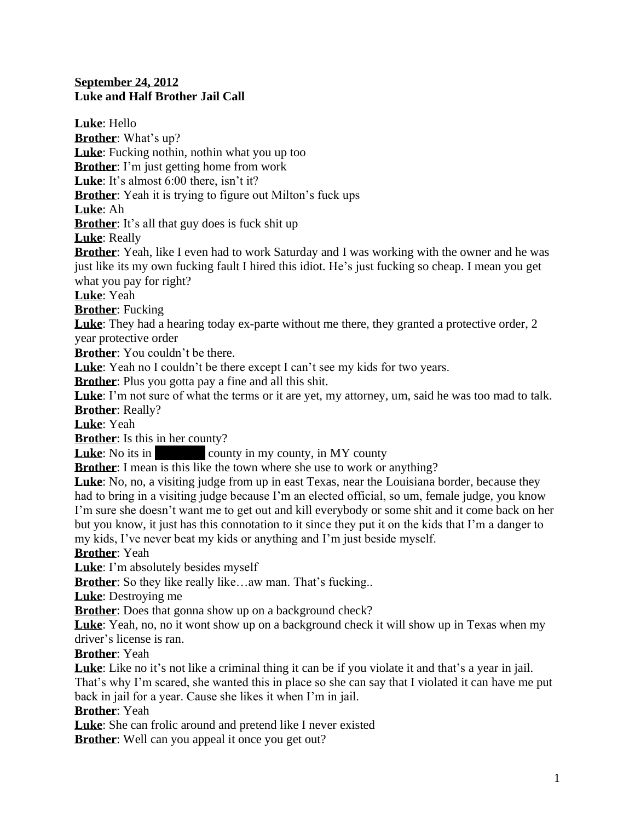## **September 24, 2012 Luke and Half Brother Jail Call**

**Luke**: Hello **Brother**: What's up? **Luke**: Fucking nothin, nothin what you up too **Brother**: I'm just getting home from work Luke: It's almost 6:00 there, isn't it? **Brother**: Yeah it is trying to figure out Milton's fuck ups **Luke**: Ah **Brother**: It's all that guy does is fuck shit up **Luke**: Really **Brother**: Yeah, like I even had to work Saturday and I was working with the owner and he was just like its my own fucking fault I hired this idiot. He's just fucking so cheap. I mean you get what you pay for right? **Luke**: Yeah **Brother**: Fucking **Luke**: They had a hearing today ex-parte without me there, they granted a protective order, 2 year protective order **Brother**: You couldn't be there. Luke: Yeah no I couldn't be there except I can't see my kids for two years. **Brother**: Plus you gotta pay a fine and all this shit. **Luke**: I'm not sure of what the terms or it are yet, my attorney, um, said he was too mad to talk. **Brother**: Really? **Luke**: Yeah **Brother**: Is this in her county? **Luke**: No its in county in my county, in MY county **Brother**: I mean is this like the town where she use to work or anything? **Luke**: No, no, a visiting judge from up in east Texas, near the Louisiana border, because they had to bring in a visiting judge because I'm an elected official, so um, female judge, you know I'm sure she doesn't want me to get out and kill everybody or some shit and it come back on her but you know, it just has this connotation to it since they put it on the kids that I'm a danger to my kids, I've never beat my kids or anything and I'm just beside myself. **Brother**: Yeah **Luke**: I'm absolutely besides myself **Brother**: So they like really like...aw man. That's fucking.. **Luke**: Destroying me **Brother:** Does that gonna show up on a background check? **Luke**: Yeah, no, no it wont show up on a background check it will show up in Texas when my driver's license is ran. **Brother**: Yeah Luke: Like no it's not like a criminal thing it can be if you violate it and that's a year in jail. That's why I'm scared, she wanted this in place so she can say that I violated it can have me put back in jail for a year. Cause she likes it when I'm in jail. **Brother**: Yeah **Luke**: She can frolic around and pretend like I never existed

**Brother**: Well can you appeal it once you get out?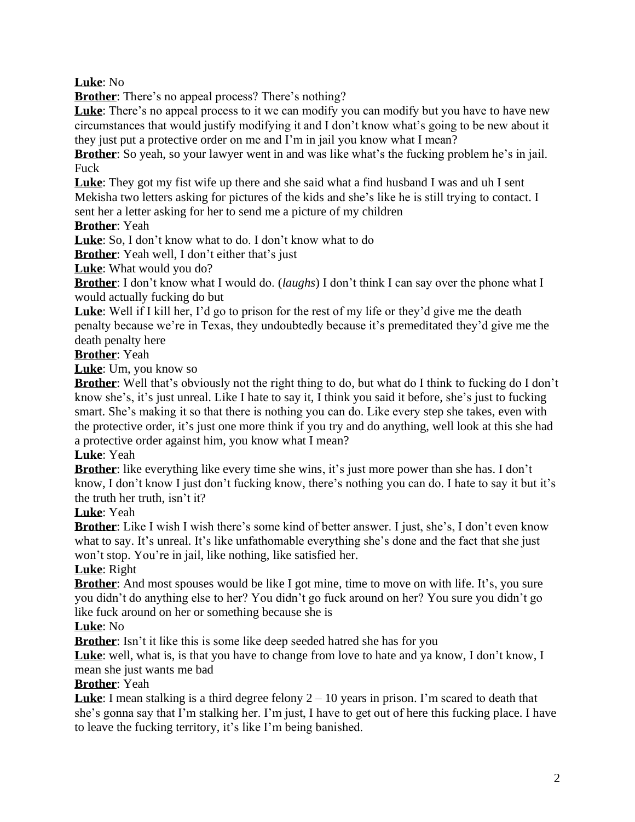**Luke**: No

**Brother:** There's no appeal process? There's nothing?

**Luke**: There's no appeal process to it we can modify you can modify but you have to have new circumstances that would justify modifying it and I don't know what's going to be new about it they just put a protective order on me and I'm in jail you know what I mean?

**Brother**: So yeah, so your lawyer went in and was like what's the fucking problem he's in jail. Fuck

**Luke**: They got my fist wife up there and she said what a find husband I was and uh I sent Mekisha two letters asking for pictures of the kids and she's like he is still trying to contact. I sent her a letter asking for her to send me a picture of my children

**Brother**: Yeah

**Luke**: So, I don't know what to do. I don't know what to do

**Brother:** Yeah well, I don't either that's just

**Luke**: What would you do?

**Brother**: I don't know what I would do. (*laughs*) I don't think I can say over the phone what I would actually fucking do but

**Luke**: Well if I kill her, I'd go to prison for the rest of my life or they'd give me the death penalty because we're in Texas, they undoubtedly because it's premeditated they'd give me the death penalty here

## **Brother**: Yeah

**Luke**: Um, you know so

**Brother**: Well that's obviously not the right thing to do, but what do I think to fucking do I don't know she's, it's just unreal. Like I hate to say it, I think you said it before, she's just to fucking smart. She's making it so that there is nothing you can do. Like every step she takes, even with the protective order, it's just one more think if you try and do anything, well look at this she had a protective order against him, you know what I mean?

## **Luke**: Yeah

**Brother**: like everything like every time she wins, it's just more power than she has. I don't know, I don't know I just don't fucking know, there's nothing you can do. I hate to say it but it's the truth her truth, isn't it?

# **Luke**: Yeah

**Brother**: Like I wish I wish there's some kind of better answer. I just, she's, I don't even know what to say. It's unreal. It's like unfathomable everything she's done and the fact that she just won't stop. You're in jail, like nothing, like satisfied her.

# **Luke**: Right

**Brother**: And most spouses would be like I got mine, time to move on with life. It's, you sure you didn't do anything else to her? You didn't go fuck around on her? You sure you didn't go like fuck around on her or something because she is

## **Luke**: No

**Brother**: Isn't it like this is some like deep seeded hatred she has for you

Luke: well, what is, is that you have to change from love to hate and ya know, I don't know, I mean she just wants me bad

## **Brother**: Yeah

**Luke**: I mean stalking is a third degree felony 2 – 10 years in prison. I'm scared to death that she's gonna say that I'm stalking her. I'm just, I have to get out of here this fucking place. I have to leave the fucking territory, it's like I'm being banished.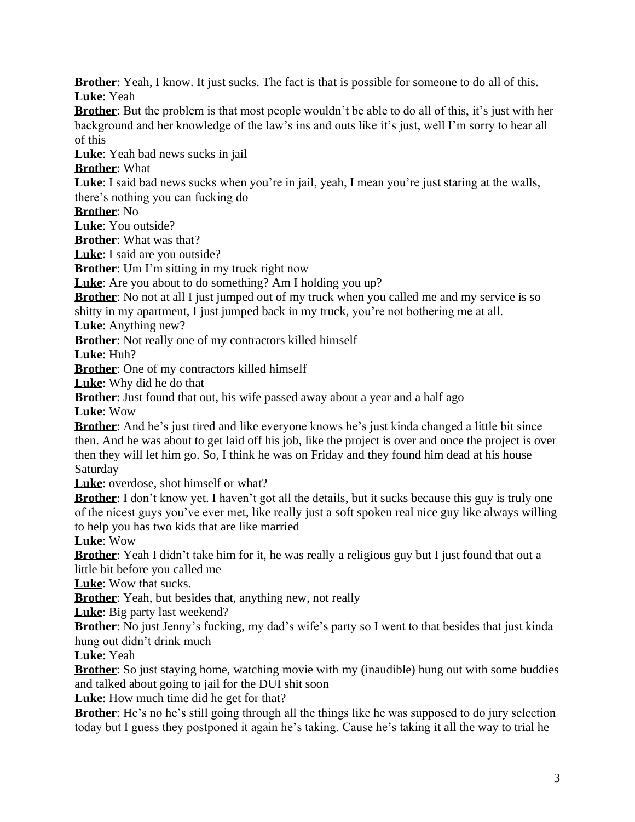**Brother**: Yeah, I know. It just sucks. The fact is that is possible for someone to do all of this. **Luke**: Yeah

**Brother**: But the problem is that most people wouldn't be able to do all of this, it's just with her background and her knowledge of the law's ins and outs like it's just, well I'm sorry to hear all of this

**Luke**: Yeah bad news sucks in jail

**Brother**: What

Luke: I said bad news sucks when you're in jail, yeah, I mean you're just staring at the walls, there's nothing you can fucking do

**Brother**: No

**Luke**: You outside?

**Brother**: What was that?

**Luke**: I said are you outside?

**Brother**: Um I'm sitting in my truck right now

**Luke**: Are you about to do something? Am I holding you up?

**Brother**: No not at all I just jumped out of my truck when you called me and my service is so shitty in my apartment, I just jumped back in my truck, you're not bothering me at all.

**Luke**: Anything new?

**Brother**: Not really one of my contractors killed himself

**Luke**: Huh?

**Brother**: One of my contractors killed himself

**Luke**: Why did he do that

**Brother**: Just found that out, his wife passed away about a year and a half ago

**Luke**: Wow

**Brother**: And he's just tired and like everyone knows he's just kinda changed a little bit since then. And he was about to get laid off his job, like the project is over and once the project is over then they will let him go. So, I think he was on Friday and they found him dead at his house **Saturday** 

**Luke**: overdose, shot himself or what?

**Brother**: I don't know yet. I haven't got all the details, but it sucks because this guy is truly one of the nicest guys you've ever met, like really just a soft spoken real nice guy like always willing to help you has two kids that are like married

**Luke**: Wow

**Brother**: Yeah I didn't take him for it, he was really a religious guy but I just found that out a little bit before you called me

**Luke**: Wow that sucks.

**Brother**: Yeah, but besides that, anything new, not really

**Luke**: Big party last weekend?

**Brother**: No just Jenny's fucking, my dad's wife's party so I went to that besides that just kinda hung out didn't drink much

**Luke**: Yeah

**Brother**: So just staying home, watching movie with my (inaudible) hung out with some buddies and talked about going to jail for the DUI shit soon

**Luke**: How much time did he get for that?

**Brother**: He's no he's still going through all the things like he was supposed to do jury selection today but I guess they postponed it again he's taking. Cause he's taking it all the way to trial he